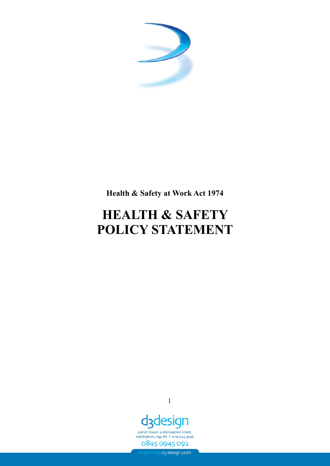

**Health & Safety at Work Act 1974**

# **HEALTH & SAFETY POLICY STATEMENT**



parish house, 4 plantagenet street, nottingham, ng3 1hl. f: 0115 924 3546. 0845 0945 092

enquiries@d3-design.com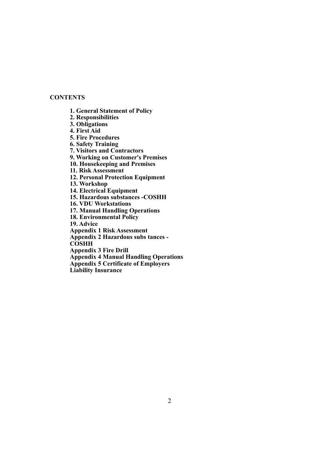# **CONTENTS**

**1. General Statement of Policy**

**2. Responsibilities**

**3. Obligations**

**4. First Aid**

**5. Fire Procedures**

**6. Safety Training**

**7. Visitors and Contractors**

**9. Working on Customer's Premises**

**10. Housekeeping and Premises**

**11. Risk Assessment**

**12. Personal Protection Equipment**

**13. Workshop**

**14. Electrical Equipment**

**15. Hazardous substances -COSHH**

**16. VDU Workstations**

**17. Manual Handling Operations**

**18. Environmental Policy**

**19. Advice**

**Appendix 1 Risk Assessment**

**Appendix 2 Hazardous subs tances -**

**COSHH**

**Appendix 3 Fire Drill**

**Appendix 4 Manual Handling Operations**

**Appendix 5 Certificate of Employers**

**Liability Insurance**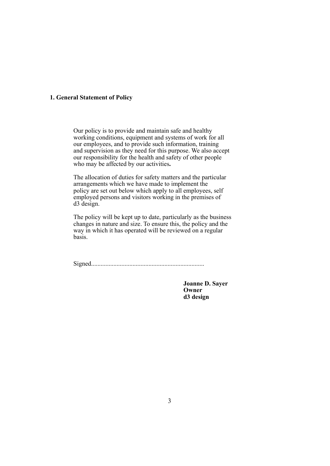# **1. General Statement of Policy**

Our policy is to provide and maintain safe and healthy working conditions, equipment and systems of work for all our employees, and to provide such information, training and supervision as they need for this purpose. We also accept our responsibility for the health and safety of other people who may be affected by our activities**.**

The allocation of duties for safety matters and the particular arrangements which we have made to implement the policy are set out below which apply to all employees, self employed persons and visitors working in the premises of d3 design.

The policy will be kept up to date, particularly as the business changes in nature and size. To ensure this, the policy and the way in which it has operated will be reviewed on a regular basis.

Signed.......................................................................

**Joanne D. Sayer Owner d3 design**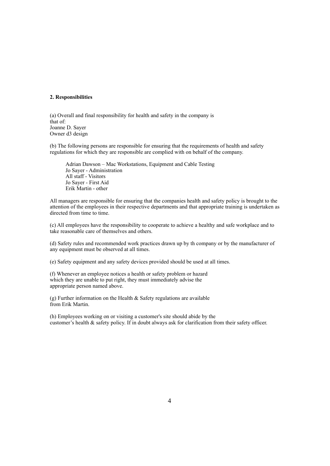# **2. Responsibilities**

(a) Overall and final responsibility for health and safety in the company is that of: Joanne D. Sayer Owner d3 design

(b) The following persons are responsible for ensuring that the requirements of health and safety regulations for which they are responsible are complied with on behalf of the company.

Adrian Dawson – Mac Workstations, Equipment and Cable Testing Jo Sayer - Administration All staff - Visitors Jo Sayer - First Aid Erik Martin - other

All managers are responsible for ensuring that the companies health and safety policy is brought to the attention of the employees in their respective departments and that appropriate training is undertaken as directed from time to time.

(c) All employees have the responsibility to cooperate to achieve a healthy and safe workplace and to take reasonable care of themselves and others.

(d) Safety rules and recommended work practices drawn up by th company or by the manufacturer of any equipment must be observed at all times.

(e) Safety equipment and any safety devices provided should be used at all times.

(f) Whenever an employee notices a health or safety problem or hazard which they are unable to put right, they must immediately advise the appropriate person named above.

(g) Further information on the Health  $&$  Safety regulations are available from Erik Martin.

(h) Employees working on or visiting a customer's site should abide by the customer's health & safety policy. If in doubt always ask for clarification from their safety officer.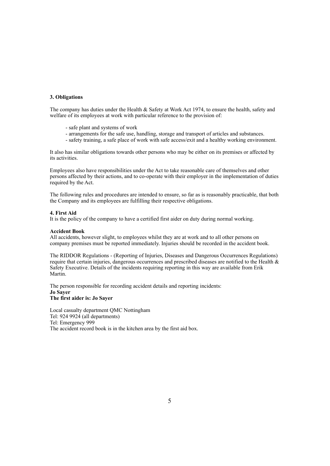# **3. Obligations**

The company has duties under the Health & Safety at Work Act 1974, to ensure the health, safety and welfare of its employees at work with particular reference to the provision of:

- safe plant and systems of work
- arrangements for the safe use, handling, storage and transport of articles and substances.
- safety training, a safe place of work with safe access/exit and a healthy working environment.

It also has similar obligations towards other persons who may be either on its premises or affected by its activities.

Employees also have responsibilities under the Act to take reasonable care of themselves and other persons affected by their actions, and to co-operate with their employer in the implementation of duties required by the Act.

The following rules and procedures are intended to ensure, so far as is reasonably practicable, that both the Company and its employees are fulfilling their respective obligations.

#### **4. First Aid**

It is the policy of the company to have a certified first aider on duty during normal working.

#### **Accident Book**

All accidents, however slight, to employees whilst they are at work and to all other persons on company premises must be reported immediately. Injuries should be recorded in the accident book.

The RIDDOR Regulations - (Reporting of Injuries, Diseases and Dangerous Occurrences Regulations) require that certain injuries, dangerous occurrences and prescribed diseases are notified to the Health & Safety Executive. Details of the incidents requiring reporting in this way are available from Erik Martin.

The person responsible for recording accident details and reporting incidents: **Jo Sayer The first aider is: Jo Sayer**

Local casualty department QMC Nottingham Tel: 924 9924 (all departments) Tel: Emergency 999 The accident record book is in the kitchen area by the first aid box.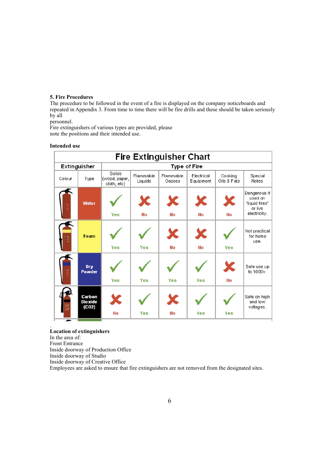## **5. Fire Procedures**

The procedure to be followed in the event of a fire is displayed on the company noticeboards and repeated in Appendix 3. From time to time there will be fire drills and these should be taken seriously by all

personnel.

Fire extinguishers of various types are provided, please note the positions and their intended use.

#### **Intended use**

| <b>Fire Extinguisher Chart</b> |                                   |                                        |                      |                     |                         |                        |                                                                      |
|--------------------------------|-----------------------------------|----------------------------------------|----------------------|---------------------|-------------------------|------------------------|----------------------------------------------------------------------|
| <b>Extinguisher</b>            |                                   | <b>Type of Fire</b>                    |                      |                     |                         |                        |                                                                      |
| Colour                         | Type                              | Solids<br>(wood, paper,<br>cloth, etc) | Flammable<br>Liquids | Flammable<br>Gasses | Electrical<br>Equipment | Cooking<br>Oils & Fats | Special<br>Notes                                                     |
|                                | <b>Water</b>                      | Yes                                    | X<br>No              | X<br><b>No</b>      | X<br><b>No</b>          | X<br><b>No</b>         | Dangerous if<br>used on<br>'liquid fires'<br>or live<br>electricity. |
|                                | Foam                              | Yes                                    | Yes                  | X<br><b>No</b>      | X<br><b>No</b>          | Yes                    | Not practical<br>for home<br>use.                                    |
|                                | Dry<br><b>Powder</b>              | Yes                                    | Yes                  | Yes                 | Yes                     | X<br><b>No</b>         | Safe use up<br>to 1000v.                                             |
|                                | Carbon<br><b>Dioxide</b><br>(CO2) | X<br><b>No</b>                         | Yes                  | X<br><b>No</b>      | Yes                     | Yes                    | Safe on high<br>and low<br>voltages.                                 |

# **Location of extinguishers**

In the area of:

.

Front Entrance

Inside doorway of Production Office

Inside doorway of Studio

Inside doorway of Creative Office

Employees are asked to ensure that fire extinguishers are not removed from the designated sites.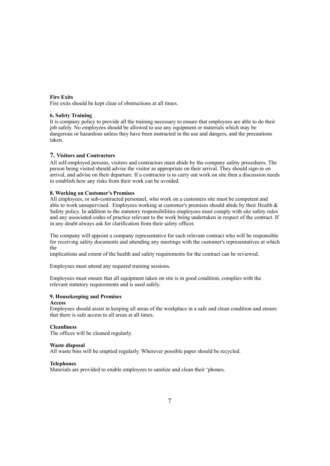#### **Fire Exits**

Fire exits should be kept clear of obstructions at all times.

#### . **6. Safety Training**

It is company policy to provide all the training necessary to ensure that employees are able to do their job safely. No employees should be allowed to use any equipment or materials which may be dangerous or hazardous unless they have been instructed in the use and dangers, and the precautions taken.

# **7. Visitors and Contractors**

All self-employed persons, visitors and contractors must abide by the company safety procedures. The person being visited should advise the visitor as appropriate on their arrival. They should sign-in on arrival, and advise on their departure. If a contractor is to carry out work on site then a discussion needs to establish how any risks from their work can be avoided.

# **8. Working on Customer's Premises**

All employees, or sub-contracted personnel, who work on a customers site must be competent and able to work unsupervised. Employees working at customer's premises should abide by their Health & Safety policy. In addition to the statutory responsibilities employees must comply with site safety rules and any associated codes of practice relevant to the work being undertaken in respect of the contract. If in any doubt always ask for clarification from their safety officer.

The company will appoint a company representative for each relevant contract who will be responsible for receiving safety documents and attending any meetings with the customer's representatives at which the

implications and extent of the health and safety requirements for the contract can be reviewed.

Employees must attend any required training sessions.

Employees must ensure that all equipment taken on site is in good condition, complies with the relevant statutory requirements and is used safely.

# **9. Housekeeping and Premises**

#### **Access**

Employees should assist in keeping all areas of the workplace in a safe and clean condition and ensure that there is safe access to all areas at all times.

#### **Cleanliness**

The offices will be cleaned regularly.

## **Waste disposal**

All waste bins will be emptied regularly. Wherever possible paper should be recycled.

# **Telephones**

Materials are provided to enable employees to sanitize and clean their 'phones.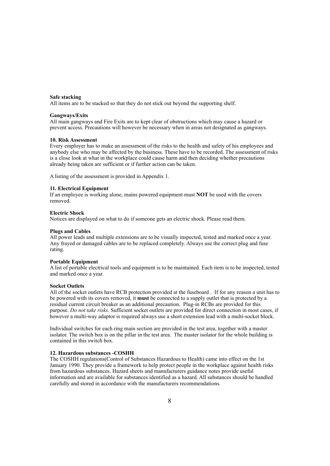#### **Safe stacking**

All items are to be stacked so that they do not stick out beyond the supporting shelf.

#### **Gangways/Exits**

All main gangways and Fire Exits are to kept clear of obstructions which may cause a hazard or prevent access. Precautions will however be necessary when in areas not designated as gangways.

#### **10. Risk Assessment**

Every employer has to make an assessment of the risks to the health and safety of his employees and anybody else who may be affected by the business. These have to be recorded. The assessment of risks is a close look at what in the workplace could cause harm and then deciding whether precautions already being taken are sufficient or if further action can be taken.

A listing of the assessment is provided in Appendix 1.

# **11. Electrical Equipment**

If an employee is working alone, mains powered equipment must **NOT** be used with the covers removed.

#### **Electric Shock**

Notices are displayed on what to do if someone gets an electric shock. Please read them.

#### **Plugs and Cables**

All power leads and multiple extensions are to be visually inspected, tested and marked once a year. Any frayed or damaged cables are to be replaced completely. Always use the correct plug and fuse rating.

#### **Portable Equipment**

A list of portable electrical tools and equipment is to be maintained. Each item is to be inspected, tested and marked once a year.

#### **Socket Outlets**

All of the socket outlets have RCB protection provided at the fuseboard . If for any reason a unit has to be powered with its covers removed, it **must** be connected to a supply outlet that is protected by a residual current circuit breaker as an additional precaution. Plug-in RCBs are provided for this purpose. *Do not take risks*. Sufficient socket outlets are provided for direct connection in most cases, if however a multi-way adaptor is required always use a short extension lead with a multi-socket block.

Individual switches for each ring main section are provided in the test area, together with a master isolator. The switch box is on the pillar in the test area. The master isolator for the whole building is contained in this switch box.

#### **12. Hazardous substances -COSHH**

The COSHH regulations(Control of Substances Hazardous to Health) came into effect on the 1st January 1990. They provide a framework to help protect people in the workplace against health risks from hazardous substances. Hazard sheets and manufacturers guidance notes provide useful information and are available for substances identified as a hazard. All substances should be handled carefully and stored in accordance with the manufacturers recommendations.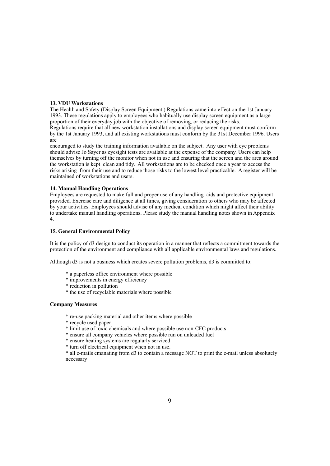# **13. VDU Workstations**

The Health and Safety (Display Screen Equipment ) Regulations came into effect on the 1st January 1993. These regulations apply to employees who habitually use display screen equipment as a large proportion of their everyday job with the objective of removing, or reducing the risks. Regulations require that all new workstation installations and display screen equipment must conform by the 1st January 1993, and all existing workstations must conform by the 31st December 1996. Users are

encouraged to study the training information available on the subject. Any user with eye problems should advise Jo Sayer as eyesight tests are available at the expense of the company. Users can help themselves by turning off the monitor when not in use and ensuring that the screen and the area around the workstation is kept clean and tidy. All workstations are to be checked once a year to access the risks arising from their use and to reduce those risks to the lowest level practicable. A register will be maintained of workstations and users.

# **14. Manual Handling Operations**

Employees are requested to make full and proper use of any handling aids and protective equipment provided. Exercise care and diligence at all times, giving consideration to others who may be affected by your activities. Employees should advise of any medical condition which might affect their ability to undertake manual handling operations. Please study the manual handling notes shown in Appendix 4.

#### **15. General Environmental Policy**

It is the policy of d3 design to conduct its operation in a manner that reflects a commitment towards the protection of the environment and compliance with all applicable environmental laws and regulations.

Although d3 is not a business which creates severe pollution problems, d3 is committed to:

- \* a paperless office environment where possible
- \* improvements in energy efficiency
- \* reduction in pollution
- \* the use of recyclable materials where possible

#### **Company Measures**

- \* re-use packing material and other items where possible
- \* recycle used paper
- \* limit use of toxic chemicals and where possible use non-CFC products
- \* ensure all company vehicles where possible run on unleaded fuel
- \* ensure heating systems are regularly serviced
- \* turn off electrical equipment when not in use.

\* all e-mails emanating from d3 to contain a message NOT to print the e-mail unless absolutely necessary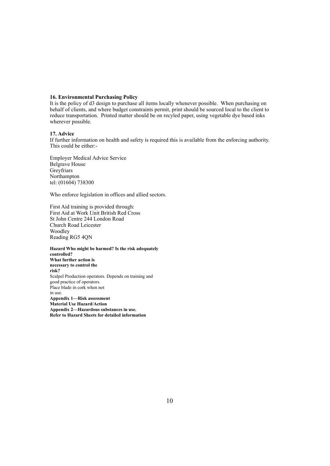# **16. Environmental Purchasing Policy**

It is the policy of d3 design to purchase all items locally whenever possible. When purchasing on behalf of clients, and where budget constraints permit, print should be sourced local to the client to reduce transportation. Printed matter should be on recyled paper, using vegetable dye based inks wherever possible.

### **17. Advice**

If further information on health and safety is required this is available from the enforcing authority. This could be either:-

Employer Medical Advice Service Belgrave House Greyfriars Northampton tel: (01604) 738300

Who enforce legislation in offices and allied sectors.

First Aid training is provided through: First Aid at Work Unit British Red Cross St John Centre 244 London Road Church Road Leicester Woodley Reading RG5 4QN

**Hazard Who might be harmed? Is the risk adequately controlled? What further action is necessary to control the risk?** Scalpel Production operators. Depends on training and good practice of operators. Place blade in cork when not in use. **Appendix 1—Risk assessment Material Use Hazard/Action Appendix 2—Hazardous substances in use. Refer to Hazard Sheets for detailed information**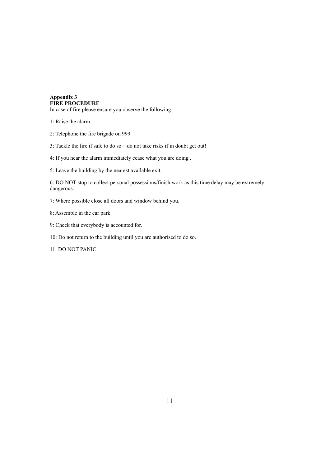# **Appendix 3 FIRE PROCEDURE**

In case of fire please ensure you observe the following:

1: Raise the alarm

- 2: Telephone the fire brigade on 999
- 3: Tackle the fire if safe to do so—do not take risks if in doubt get out!

4: If you hear the alarm immediately cease what you are doing .

5: Leave the building by the nearest available exit.

6: DO NOT stop to collect personal possessions/finish work as this time delay may be extremely dangerous.

7: Where possible close all doors and window behind you.

8: Assemble in the car park.

9: Check that everybody is accounted for.

10: Do not return to the building until you are authorised to do so.

11: DO NOT PANIC.